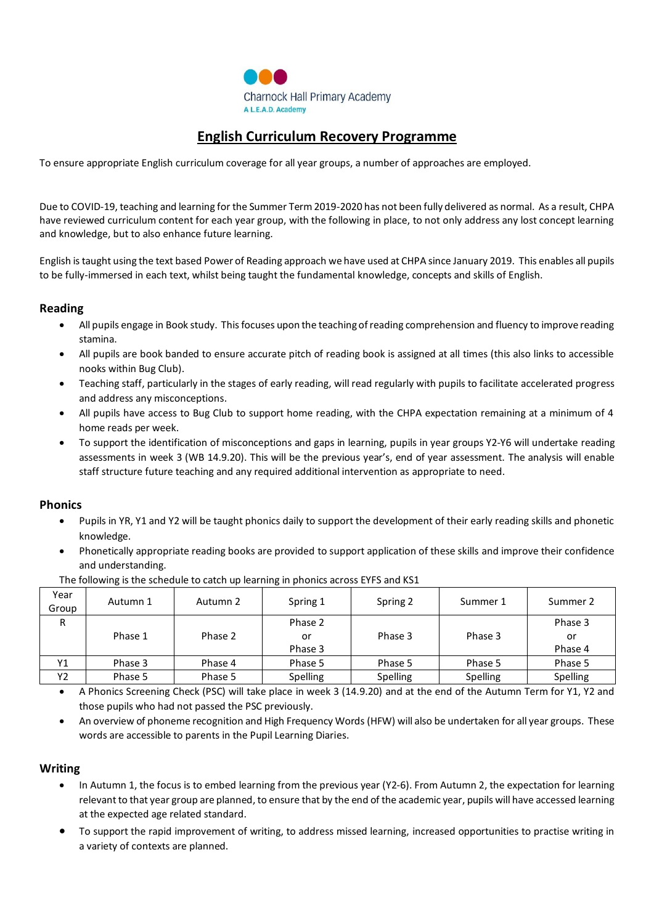

# **English Curriculum Recovery Programme**

To ensure appropriate English curriculum coverage for all year groups, a number of approaches are employed.

Due to COVID-19, teaching and learning for the Summer Term 2019-2020 has not been fully delivered as normal. As a result, CHPA have reviewed curriculum content for each year group, with the following in place, to not only address any lost concept learning and knowledge, but to also enhance future learning.

English istaught using the text based Power of Reading approach we have used at CHPA since January 2019. This enables all pupils to be fully-immersed in each text, whilst being taught the fundamental knowledge, concepts and skills of English.

# **Reading**

- All pupils engage in Book study. This focuses upon the teaching of reading comprehension and fluency to improve reading stamina.
- All pupils are book banded to ensure accurate pitch of reading book is assigned at all times (this also links to accessible nooks within Bug Club).
- Teaching staff, particularly in the stages of early reading, will read regularly with pupils to facilitate accelerated progress and address any misconceptions.
- All pupils have access to Bug Club to support home reading, with the CHPA expectation remaining at a minimum of 4 home reads per week.
- To support the identification of misconceptions and gaps in learning, pupils in year groups Y2-Y6 will undertake reading assessments in week 3 (WB 14.9.20). This will be the previous year's, end of year assessment. The analysis will enable staff structure future teaching and any required additional intervention as appropriate to need.

#### **Phonics**

- Pupils in YR, Y1 and Y2 will be taught phonics daily to support the development of their early reading skills and phonetic knowledge.
- Phonetically appropriate reading books are provided to support application of these skills and improve their confidence and understanding.

| Year<br>Group | Autumn 1 | Autumn 2 | Spring 1        | Spring 2 | Summer 1 | Summer 2 |
|---------------|----------|----------|-----------------|----------|----------|----------|
| R             |          |          | Phase 2         |          |          | Phase 3  |
|               | Phase 1  | Phase 2  | or              | Phase 3  | Phase 3  | or       |
|               |          |          | Phase 3         |          |          | Phase 4  |
| Υ1            | Phase 3  | Phase 4  | Phase 5         | Phase 5  | Phase 5  | Phase 5  |
| Υ2            | Phase 5  | Phase 5  | <b>Spelling</b> | Spelling | Spelling | Spelling |
|               |          |          |                 |          |          |          |

The following is the schedule to catch up learning in phonics across EYFS and KS1

• A Phonics Screening Check (PSC) will take place in week 3 (14.9.20) and at the end of the Autumn Term for Y1, Y2 and those pupils who had not passed the PSC previously.

• An overview of phoneme recognition and High Frequency Words (HFW) will also be undertaken for all year groups. These words are accessible to parents in the Pupil Learning Diaries.

#### **Writing**

- In Autumn 1, the focus is to embed learning from the previous year (Y2-6). From Autumn 2, the expectation for learning relevant to that year group are planned, to ensure that by the end of the academic year, pupils will have accessed learning at the expected age related standard.
- To support the rapid improvement of writing, to address missed learning, increased opportunities to practise writing in a variety of contexts are planned.